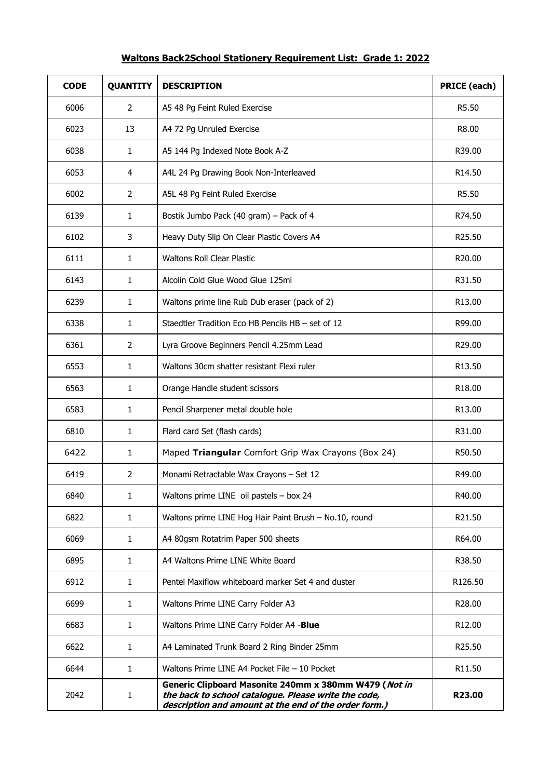## **Waltons Back2School Stationery Requirement List: Grade 1: 2022**

| <b>CODE</b> | <b>QUANTITY</b> | <b>DESCRIPTION</b>                                                                                                                                                     | <b>PRICE (each)</b> |
|-------------|-----------------|------------------------------------------------------------------------------------------------------------------------------------------------------------------------|---------------------|
| 6006        | 2               | A5 48 Pg Feint Ruled Exercise                                                                                                                                          | R5.50               |
| 6023        | 13              | A4 72 Pg Unruled Exercise                                                                                                                                              | R8.00               |
| 6038        | $\mathbf{1}$    | A5 144 Pg Indexed Note Book A-Z                                                                                                                                        | R39.00              |
| 6053        | 4               | A4L 24 Pg Drawing Book Non-Interleaved                                                                                                                                 | R14.50              |
| 6002        | $\overline{2}$  | A5L 48 Pg Feint Ruled Exercise                                                                                                                                         | R5.50               |
| 6139        | 1               | Bostik Jumbo Pack (40 gram) - Pack of 4                                                                                                                                | R74.50              |
| 6102        | 3               | Heavy Duty Slip On Clear Plastic Covers A4                                                                                                                             | R25.50              |
| 6111        | $\mathbf{1}$    | <b>Waltons Roll Clear Plastic</b>                                                                                                                                      | R20.00              |
| 6143        | $\mathbf{1}$    | Alcolin Cold Glue Wood Glue 125ml                                                                                                                                      | R31.50              |
| 6239        | $\mathbf{1}$    | Waltons prime line Rub Dub eraser (pack of 2)                                                                                                                          | R13.00              |
| 6338        | $\mathbf{1}$    | Staedtler Tradition Eco HB Pencils HB - set of 12                                                                                                                      | R99.00              |
| 6361        | $\overline{2}$  | Lyra Groove Beginners Pencil 4.25mm Lead                                                                                                                               | R29.00              |
| 6553        | $\mathbf{1}$    | Waltons 30cm shatter resistant Flexi ruler                                                                                                                             | R13.50              |
| 6563        | $\mathbf{1}$    | Orange Handle student scissors                                                                                                                                         | R <sub>18.00</sub>  |
| 6583        | $\mathbf{1}$    | Pencil Sharpener metal double hole                                                                                                                                     | R <sub>13.00</sub>  |
| 6810        | $\mathbf{1}$    | Flard card Set (flash cards)                                                                                                                                           | R31.00              |
| 6422        | $\mathbf{1}$    | Maped Triangular Comfort Grip Wax Crayons (Box 24)                                                                                                                     | R50.50              |
| 6419        | $\overline{2}$  | Monami Retractable Wax Crayons - Set 12                                                                                                                                | R49.00              |
| 6840        | $\mathbf{1}$    | Waltons prime LINE oil pastels - box 24                                                                                                                                | R40.00              |
| 6822        | $\mathbf{1}$    | Waltons prime LINE Hog Hair Paint Brush - No.10, round                                                                                                                 | R21.50              |
| 6069        | $\mathbf{1}$    | A4 80gsm Rotatrim Paper 500 sheets                                                                                                                                     | R64.00              |
| 6895        | $\mathbf{1}$    | A4 Waltons Prime LINE White Board                                                                                                                                      | R38.50              |
| 6912        | $\mathbf{1}$    | Pentel Maxiflow whiteboard marker Set 4 and duster                                                                                                                     | R126.50             |
| 6699        | $\mathbf{1}$    | Waltons Prime LINE Carry Folder A3                                                                                                                                     | R28.00              |
| 6683        | $\mathbf{1}$    | Waltons Prime LINE Carry Folder A4 -Blue                                                                                                                               | R12.00              |
| 6622        | $\mathbf{1}$    | A4 Laminated Trunk Board 2 Ring Binder 25mm                                                                                                                            | R25.50              |
| 6644        | $\mathbf{1}$    | Waltons Prime LINE A4 Pocket File - 10 Pocket                                                                                                                          | R11.50              |
| 2042        | $\mathbf{1}$    | Generic Clipboard Masonite 240mm x 380mm W479 (Not in<br>the back to school catalogue. Please write the code,<br>description and amount at the end of the order form.) | R23.00              |